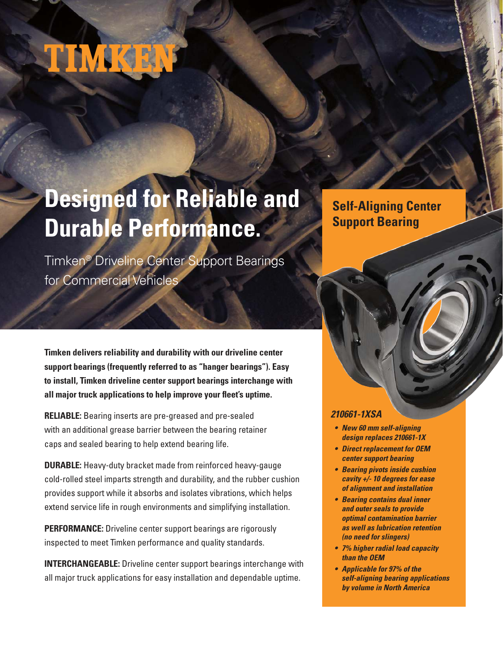# **NAVAKORA**

## **Designed for Reliable and Durable Performance.**

Timken® Driveline Center Support Bearings for Commercial Vehicles

**Timken delivers reliability and durability with our driveline center support bearings (frequently referred to as "hanger bearings"). Easy to install, Timken driveline center support bearings interchange with all major truck applications to help improve your fleet's uptime.**

**RELIABLE:** Bearing inserts are pre-greased and pre-sealed with an additional grease barrier between the bearing retainer caps and sealed bearing to help extend bearing life.

**DURABLE:** Heavy-duty bracket made from reinforced heavy-gauge cold-rolled steel imparts strength and durability, and the rubber cushion provides support while it absorbs and isolates vibrations, which helps extend service life in rough environments and simplifying installation.

**PERFORMANCE:** Driveline center support bearings are rigorously inspected to meet Timken performance and quality standards.

**INTERCHANGEABLE:** Driveline center support bearings interchange with all major truck applications for easy installation and dependable uptime.

### **Self-Aligning Center Support Bearing**

#### **210661-1XSA**

- **New 60 mm self-aligning design replaces 210661-1X**
- **Direct replacement for OEM center support bearing**
- **Bearing pivots inside cushion cavity +/- 10 degrees for ease of alignment and installation**
- **Bearing contains dual inner and outer seals to provide optimal contamination barrier as well as lubrication retention (no need for slingers)**
- **7% higher radial load capacity than the OEM**
- **Applicable for 97% of the self-aligning bearing applications by volume in North America**